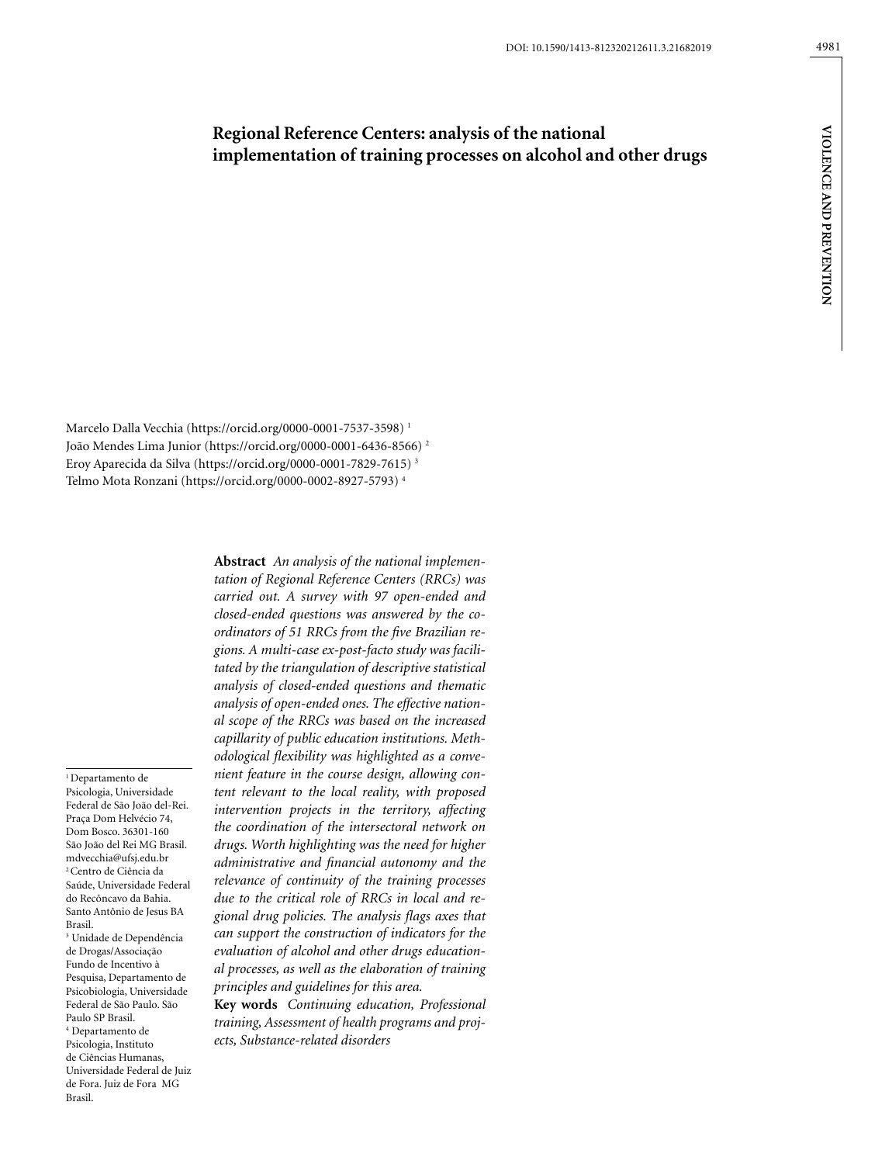# **Regional Reference Centers: analysis of the national implementation of training processes on alcohol and other drugs**

Marcelo Dalla Vecchia (https://orcid.org/0000-0001-7537-3598) 1 João Mendes Lima Junior (https://orcid.org/0000-0001-6436-8566) 2 Eroy Aparecida da Silva (https://orcid.org/0000-0001-7829-7615) 3 Telmo Mota Ronzani (https://orcid.org/0000-0002-8927-5793) 4

<sup>1</sup> Departamento de Psicologia, Universidade Federal de São João del-Rei. Praça Dom Helvécio 74, Dom Bosco. 36301-160 São João del Rei MG Brasil. mdvecchia@ufsj.edu.br 2 Centro de Ciência da Saúde, Universidade Federal do Recôncavo da Bahia. Santo Antônio de Jesus BA Brasil. 3 Unidade de Dependência de Drogas/Associação Fundo de Incentivo à Pesquisa, Departamento de Psicobiologia, Universidade Federal de São Paulo. São Paulo SP Brasil. 4 Departamento de Psicologia, Instituto de Ciências Humanas, Universidade Federal de Juiz

de Fora. Juiz de Fora MG

Brasil.

**Abstract** *An analysis of the national implementation of Regional Reference Centers (RRCs) was carried out. A survey with 97 open-ended and closed-ended questions was answered by the coordinators of 51 RRCs from the five Brazilian regions. A multi-case ex-post-facto study was facilitated by the triangulation of descriptive statistical analysis of closed-ended questions and thematic analysis of open-ended ones. The effective national scope of the RRCs was based on the increased capillarity of public education institutions. Methodological flexibility was highlighted as a convenient feature in the course design, allowing content relevant to the local reality, with proposed intervention projects in the territory, affecting the coordination of the intersectoral network on drugs. Worth highlighting was the need for higher administrative and financial autonomy and the relevance of continuity of the training processes due to the critical role of RRCs in local and regional drug policies. The analysis flags axes that can support the construction of indicators for the evaluation of alcohol and other drugs educational processes, as well as the elaboration of training principles and guidelines for this area.* 

**Key words** *Continuing education, Professional training, Assessment of health programs and projects, Substance-related disorders*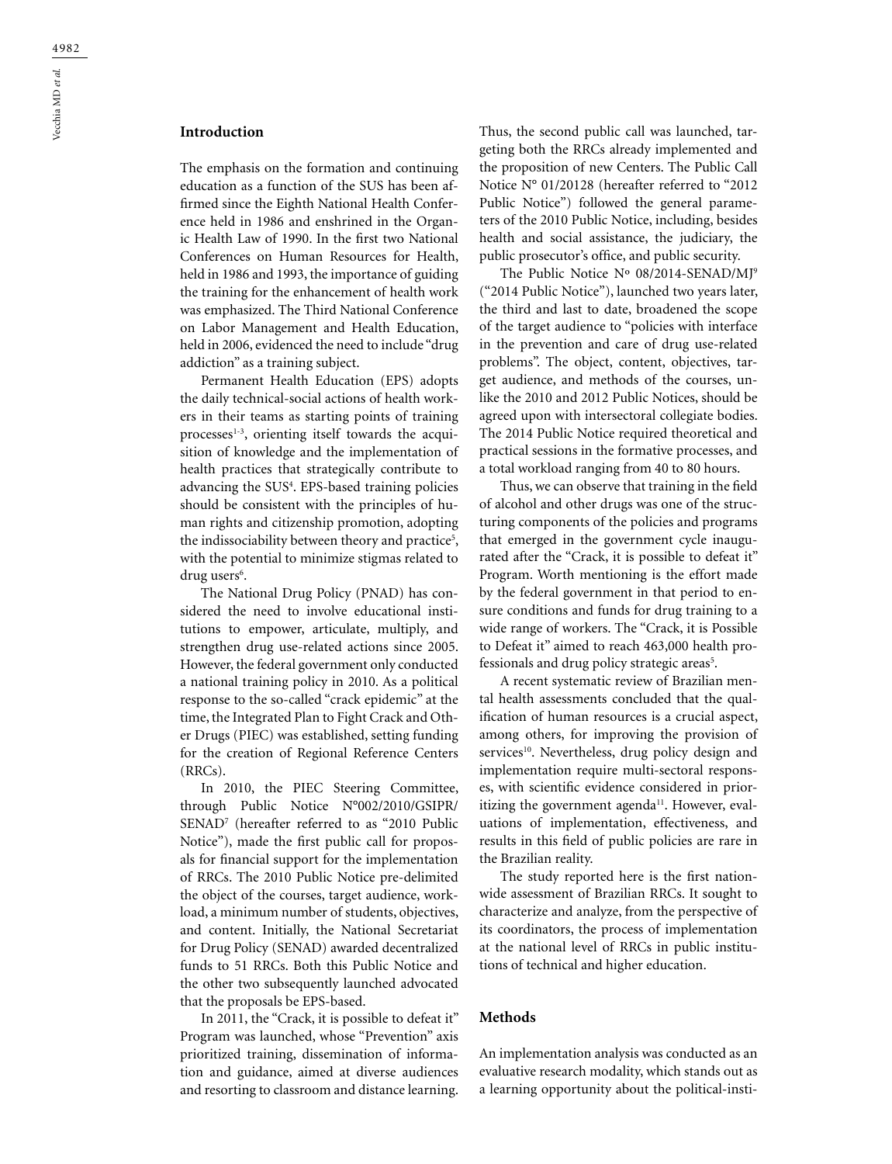# **Introduction**

The emphasis on the formation and continuing education as a function of the SUS has been affirmed since the Eighth National Health Conference held in 1986 and enshrined in the Organic Health Law of 1990. In the first two National Conferences on Human Resources for Health, held in 1986 and 1993, the importance of guiding the training for the enhancement of health work was emphasized. The Third National Conference on Labor Management and Health Education, held in 2006, evidenced the need to include "drug addiction" as a training subject.

Permanent Health Education (EPS) adopts the daily technical-social actions of health workers in their teams as starting points of training processes $1-3$ , orienting itself towards the acquisition of knowledge and the implementation of health practices that strategically contribute to advancing the SUS4 . EPS-based training policies should be consistent with the principles of human rights and citizenship promotion, adopting the indissociability between theory and practice<sup>5</sup>, with the potential to minimize stigmas related to drug users<sup>6</sup>.

The National Drug Policy (PNAD) has considered the need to involve educational institutions to empower, articulate, multiply, and strengthen drug use-related actions since 2005. However, the federal government only conducted a national training policy in 2010. As a political response to the so-called "crack epidemic" at the time, the Integrated Plan to Fight Crack and Other Drugs (PIEC) was established, setting funding for the creation of Regional Reference Centers (RRCs).

In 2010, the PIEC Steering Committee, through Public Notice N°002/2010/GSIPR/ SENAD7 (hereafter referred to as "2010 Public Notice"), made the first public call for proposals for financial support for the implementation of RRCs. The 2010 Public Notice pre-delimited the object of the courses, target audience, workload, a minimum number of students, objectives, and content. Initially, the National Secretariat for Drug Policy (SENAD) awarded decentralized funds to 51 RRCs. Both this Public Notice and the other two subsequently launched advocated that the proposals be EPS-based.

In 2011, the "Crack, it is possible to defeat it" Program was launched, whose "Prevention" axis prioritized training, dissemination of information and guidance, aimed at diverse audiences and resorting to classroom and distance learning.

Thus, the second public call was launched, targeting both the RRCs already implemented and the proposition of new Centers. The Public Call Notice N° 01/20128 (hereafter referred to "2012 Public Notice") followed the general parameters of the 2010 Public Notice, including, besides health and social assistance, the judiciary, the public prosecutor's office, and public security.

The Public Notice Nº 08/2014-SENAD/MJ9 ("2014 Public Notice"), launched two years later, the third and last to date, broadened the scope of the target audience to "policies with interface in the prevention and care of drug use-related problems". The object, content, objectives, target audience, and methods of the courses, unlike the 2010 and 2012 Public Notices, should be agreed upon with intersectoral collegiate bodies. The 2014 Public Notice required theoretical and practical sessions in the formative processes, and a total workload ranging from 40 to 80 hours.

Thus, we can observe that training in the field of alcohol and other drugs was one of the structuring components of the policies and programs that emerged in the government cycle inaugurated after the "Crack, it is possible to defeat it" Program. Worth mentioning is the effort made by the federal government in that period to ensure conditions and funds for drug training to a wide range of workers. The "Crack, it is Possible to Defeat it" aimed to reach 463,000 health professionals and drug policy strategic areas<sup>5</sup>.

A recent systematic review of Brazilian mental health assessments concluded that the qualification of human resources is a crucial aspect, among others, for improving the provision of services<sup>10</sup>. Nevertheless, drug policy design and implementation require multi-sectoral responses, with scientific evidence considered in prioritizing the government agenda $^{11}$ . However, evaluations of implementation, effectiveness, and results in this field of public policies are rare in the Brazilian reality.

The study reported here is the first nationwide assessment of Brazilian RRCs. It sought to characterize and analyze, from the perspective of its coordinators, the process of implementation at the national level of RRCs in public institutions of technical and higher education.

#### **Methods**

An implementation analysis was conducted as an evaluative research modality, which stands out as a learning opportunity about the political-insti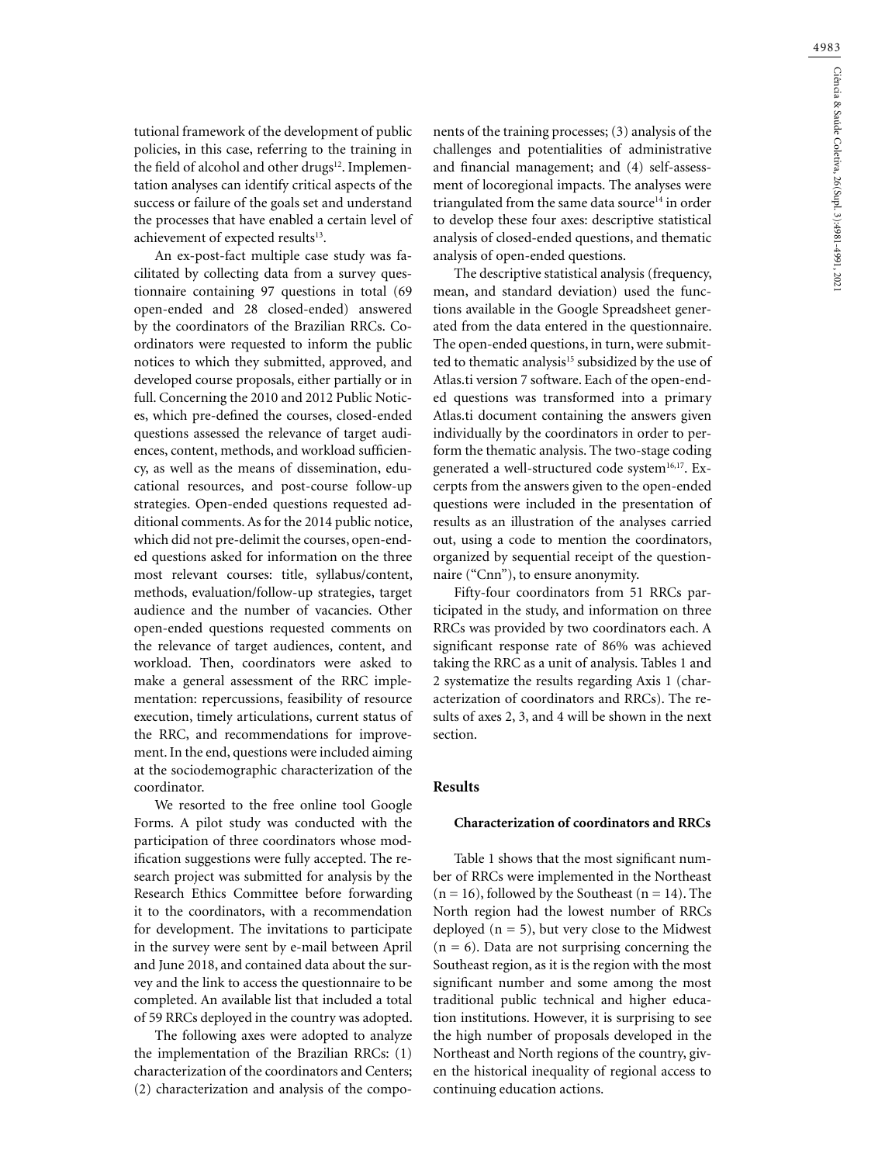tutional framework of the development of public policies, in this case, referring to the training in the field of alcohol and other drugs<sup>12</sup>. Implementation analyses can identify critical aspects of the success or failure of the goals set and understand the processes that have enabled a certain level of achievement of expected results<sup>13</sup>.

An ex-post-fact multiple case study was facilitated by collecting data from a survey questionnaire containing 97 questions in total (69 open-ended and 28 closed-ended) answered by the coordinators of the Brazilian RRCs. Coordinators were requested to inform the public notices to which they submitted, approved, and developed course proposals, either partially or in full. Concerning the 2010 and 2012 Public Notices, which pre-defined the courses, closed-ended questions assessed the relevance of target audiences, content, methods, and workload sufficiency, as well as the means of dissemination, educational resources, and post-course follow-up strategies. Open-ended questions requested additional comments. As for the 2014 public notice, which did not pre-delimit the courses, open-ended questions asked for information on the three most relevant courses: title, syllabus/content, methods, evaluation/follow-up strategies, target audience and the number of vacancies. Other open-ended questions requested comments on the relevance of target audiences, content, and workload. Then, coordinators were asked to make a general assessment of the RRC implementation: repercussions, feasibility of resource execution, timely articulations, current status of the RRC, and recommendations for improvement. In the end, questions were included aiming at the sociodemographic characterization of the coordinator.

We resorted to the free online tool Google Forms. A pilot study was conducted with the participation of three coordinators whose modification suggestions were fully accepted. The research project was submitted for analysis by the Research Ethics Committee before forwarding it to the coordinators, with a recommendation for development. The invitations to participate in the survey were sent by e-mail between April and June 2018, and contained data about the survey and the link to access the questionnaire to be completed. An available list that included a total of 59 RRCs deployed in the country was adopted.

The following axes were adopted to analyze the implementation of the Brazilian RRCs: (1) characterization of the coordinators and Centers; (2) characterization and analysis of the components of the training processes; (3) analysis of the challenges and potentialities of administrative and financial management; and (4) self-assessment of locoregional impacts. The analyses were triangulated from the same data source<sup>14</sup> in order to develop these four axes: descriptive statistical analysis of closed-ended questions, and thematic analysis of open-ended questions.

The descriptive statistical analysis (frequency, mean, and standard deviation) used the functions available in the Google Spreadsheet generated from the data entered in the questionnaire. The open-ended questions, in turn, were submitted to thematic analysis<sup>15</sup> subsidized by the use of Atlas.ti version 7 software. Each of the open-ended questions was transformed into a primary Atlas.ti document containing the answers given individually by the coordinators in order to perform the thematic analysis. The two-stage coding generated a well-structured code system<sup>16,17</sup>. Excerpts from the answers given to the open-ended questions were included in the presentation of results as an illustration of the analyses carried out, using a code to mention the coordinators, organized by sequential receipt of the questionnaire ("Cnn"), to ensure anonymity.

Fifty-four coordinators from 51 RRCs participated in the study, and information on three RRCs was provided by two coordinators each. A significant response rate of 86% was achieved taking the RRC as a unit of analysis. Tables 1 and 2 systematize the results regarding Axis 1 (characterization of coordinators and RRCs). The results of axes 2, 3, and 4 will be shown in the next section.

### **Results**

#### **Characterization of coordinators and RRCs**

Table 1 shows that the most significant number of RRCs were implemented in the Northeast  $(n = 16)$ , followed by the Southeast  $(n = 14)$ . The North region had the lowest number of RRCs deployed  $(n = 5)$ , but very close to the Midwest  $(n = 6)$ . Data are not surprising concerning the Southeast region, as it is the region with the most significant number and some among the most traditional public technical and higher education institutions. However, it is surprising to see the high number of proposals developed in the Northeast and North regions of the country, given the historical inequality of regional access to continuing education actions.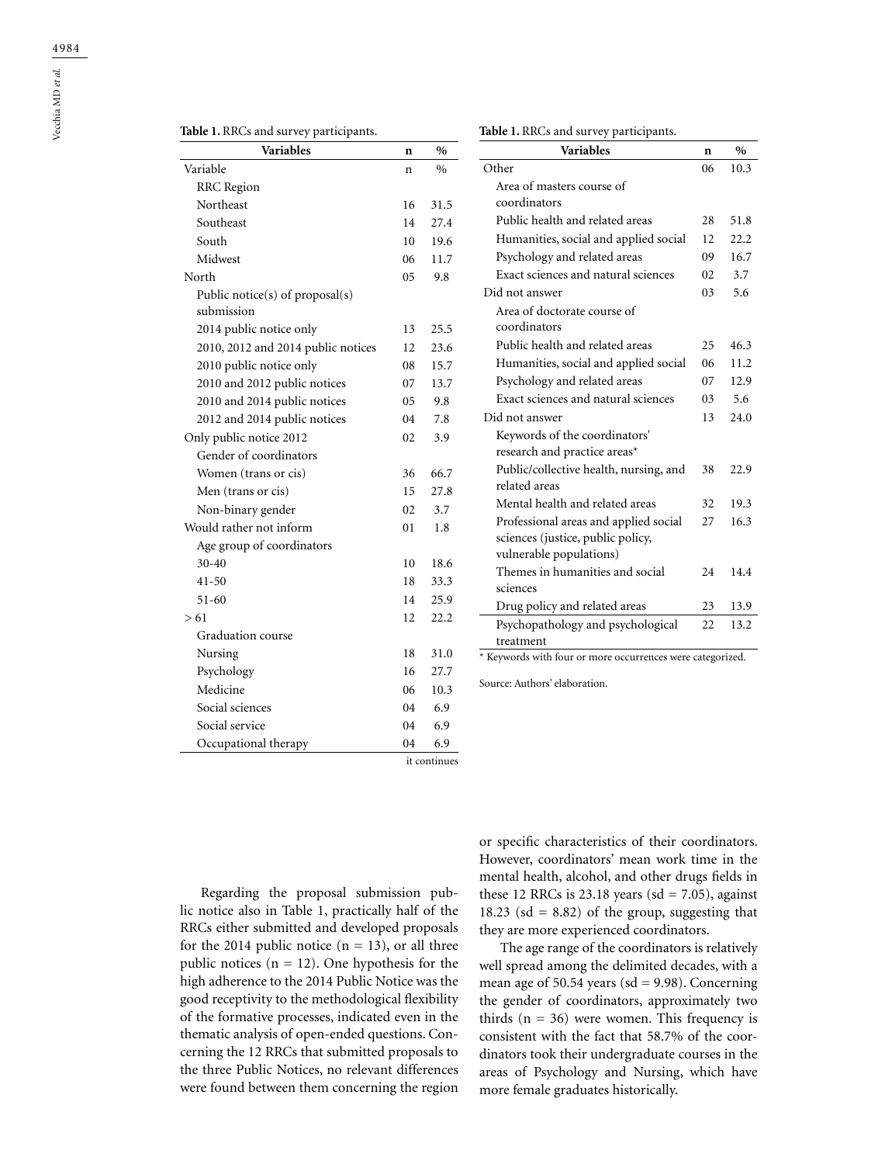Vecchia MD *et al.*

### **Table 1.** RRCs and survey participants.

| <b>Variables</b>                              | n  | $\frac{0}{0}$ |
|-----------------------------------------------|----|---------------|
| Variable                                      | n  | $\frac{0}{0}$ |
| RRC Region                                    |    |               |
| Northeast                                     | 16 | 31.5          |
| Southeast                                     | 14 | 27.4          |
| South                                         | 10 | 19.6          |
| Midwest                                       | 06 | 11.7          |
| North                                         | 05 | 9.8           |
| Public notice(s) of proposal(s)<br>submission |    |               |
| 2014 public notice only                       | 13 | 25.5          |
| 2010, 2012 and 2014 public notices            | 12 | 23.6          |
| 2010 public notice only                       | 08 | 15.7          |
| 2010 and 2012 public notices                  | 07 | 13.7          |
| 2010 and 2014 public notices                  | 05 | 9.8           |
| 2012 and 2014 public notices                  | 04 | 7.8           |
| Only public notice 2012                       | 02 | 3.9           |
| Gender of coordinators                        |    |               |
| Women (trans or cis)                          | 36 | 66.7          |
| Men (trans or cis)                            | 15 | 27.8          |
| Non-binary gender                             | 02 | 3.7           |
| Would rather not inform                       | 01 | 1.8           |
| Age group of coordinators                     |    |               |
| $30 - 40$                                     | 10 | 18.6          |
| $41 - 50$                                     | 18 | 33.3          |
| $51 - 60$                                     | 14 | 25.9          |
| > 61                                          | 12 | 22.2          |
| Graduation course                             |    |               |
| Nursing                                       | 18 | 31.0          |
| Psychology                                    | 16 | 27.7          |
| Medicine                                      | 06 | 10.3          |
| Social sciences                               | 04 | 6.9           |
| Social service                                | 04 | 6.9           |
| Occupational therapy                          | 04 | 6.9           |

| <b>Variables</b>                                                                                      | n   | $\%$ |
|-------------------------------------------------------------------------------------------------------|-----|------|
| Other                                                                                                 |     | 10.3 |
| Area of masters course of                                                                             |     |      |
| coordinators                                                                                          |     |      |
| Public health and related areas                                                                       | 28  | 51.8 |
| Humanities, social and applied social                                                                 |     | 22.2 |
| Psychology and related areas                                                                          | 09  | 16.7 |
| Exact sciences and natural sciences                                                                   | 02. | 3.7  |
| Did not answer                                                                                        | 03  | 5.6  |
| Area of doctorate course of<br>coordinators                                                           |     |      |
| Public health and related areas                                                                       | 25  | 46.3 |
| Humanities, social and applied social                                                                 | 06  | 11.2 |
| Psychology and related areas                                                                          | 07  | 12.9 |
| Exact sciences and natural sciences                                                                   | 03  | 5.6  |
| Did not answer                                                                                        | 13  | 24.0 |
| Keywords of the coordinators'<br>research and practice areas*                                         |     |      |
| Public/collective health, nursing, and<br>related areas                                               | 38  | 22.9 |
| Mental health and related areas                                                                       | 32  | 19.3 |
| Professional areas and applied social<br>sciences (justice, public policy,<br>vulnerable populations) | 27  | 16.3 |
| Themes in humanities and social<br>sciences                                                           | 24  | 14.4 |
| Drug policy and related areas                                                                         | 23  | 13.9 |
| Psychopathology and psychological                                                                     | 22  | 13.2 |
| treatment                                                                                             |     |      |
| * Keywords with four or more occurrences were categorized.                                            |     |      |

Source: Authors' elaboration.

it continues

Regarding the proposal submission public notice also in Table 1, practically half of the RRCs either submitted and developed proposals for the 2014 public notice  $(n = 13)$ , or all three public notices ( $n = 12$ ). One hypothesis for the high adherence to the 2014 Public Notice was the good receptivity to the methodological flexibility of the formative processes, indicated even in the thematic analysis of open-ended questions. Concerning the 12 RRCs that submitted proposals to the three Public Notices, no relevant differences were found between them concerning the region

or specific characteristics of their coordinators. However, coordinators' mean work time in the mental health, alcohol, and other drugs fields in these 12 RRCs is 23.18 years ( $sd = 7.05$ ), against 18.23 (sd = 8.82) of the group, suggesting that they are more experienced coordinators.

The age range of the coordinators is relatively well spread among the delimited decades, with a mean age of 50.54 years ( $sd = 9.98$ ). Concerning the gender of coordinators, approximately two thirds  $(n = 36)$  were women. This frequency is consistent with the fact that 58.7% of the coordinators took their undergraduate courses in the areas of Psychology and Nursing, which have more female graduates historically.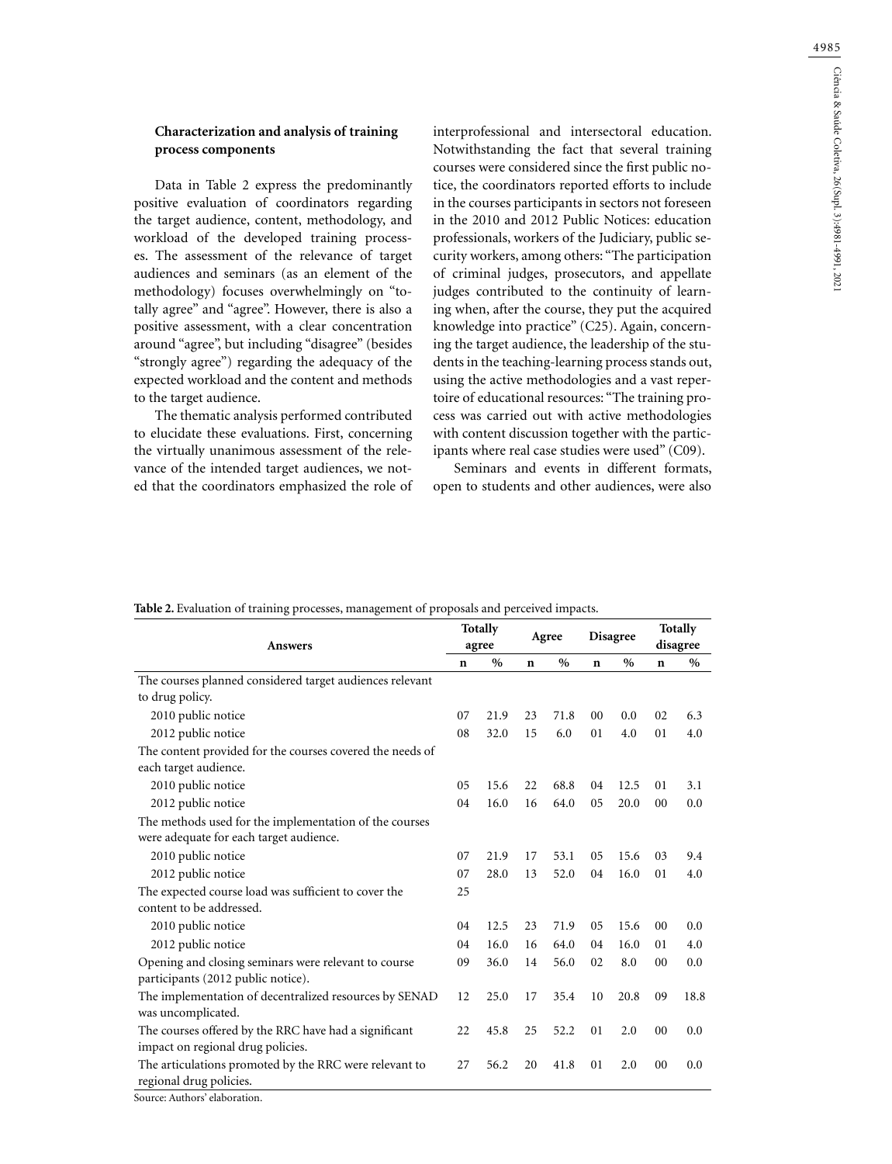4985

### **Characterization and analysis of training process components**

Data in Table 2 express the predominantly positive evaluation of coordinators regarding the target audience, content, methodology, and workload of the developed training processes. The assessment of the relevance of target audiences and seminars (as an element of the methodology) focuses overwhelmingly on "totally agree" and "agree". However, there is also a positive assessment, with a clear concentration around "agree", but including "disagree" (besides "strongly agree") regarding the adequacy of the expected workload and the content and methods to the target audience.

The thematic analysis performed contributed to elucidate these evaluations. First, concerning the virtually unanimous assessment of the relevance of the intended target audiences, we noted that the coordinators emphasized the role of interprofessional and intersectoral education. Notwithstanding the fact that several training courses were considered since the first public notice, the coordinators reported efforts to include in the courses participants in sectors not foreseen in the 2010 and 2012 Public Notices: education professionals, workers of the Judiciary, public security workers, among others: "The participation of criminal judges, prosecutors, and appellate judges contributed to the continuity of learning when, after the course, they put the acquired knowledge into practice" (C25). Again, concerning the target audience, the leadership of the students in the teaching-learning process stands out, using the active methodologies and a vast repertoire of educational resources: "The training process was carried out with active methodologies with content discussion together with the participants where real case studies were used" (C09).

Seminars and events in different formats, open to students and other audiences, were also

|                                                           | <b>Totally</b> |       | Agree       |      | <b>Disagree</b> |               | <b>Totally</b> |               |
|-----------------------------------------------------------|----------------|-------|-------------|------|-----------------|---------------|----------------|---------------|
| <b>Answers</b>                                            |                | agree |             |      |                 |               | disagree       |               |
|                                                           | n              | $\%$  | $\mathbf n$ | $\%$ | n               | $\frac{0}{0}$ | $\mathbf n$    | $\%$          |
| The courses planned considered target audiences relevant  |                |       |             |      |                 |               |                |               |
| to drug policy.                                           |                |       |             |      |                 |               |                |               |
| 2010 public notice                                        | 07             | 21.9  | 23          | 71.8 | 00              | 0.0           | 02             | 6.3           |
| 2012 public notice                                        | 08             | 32.0  | 15          | 6.0  | 01              | 4.0           | 01             | 4.0           |
| The content provided for the courses covered the needs of |                |       |             |      |                 |               |                |               |
| each target audience.                                     |                |       |             |      |                 |               |                |               |
| 2010 public notice                                        | 05             | 15.6  | 22          | 68.8 | 04              | 12.5          | 01             | 3.1           |
| 2012 public notice                                        | 04             | 16.0  | 16          | 64.0 | 0 <sub>5</sub>  | 20.0          | 00             | $0.0^{\circ}$ |
| The methods used for the implementation of the courses    |                |       |             |      |                 |               |                |               |
| were adequate for each target audience.                   |                |       |             |      |                 |               |                |               |
| 2010 public notice                                        | 07             | 21.9  | 17          | 53.1 | 05              | 15.6          | 03             | 9.4           |
| 2012 public notice                                        | 07             | 28.0  | 13          | 52.0 | 04              | 16.0          | 01             | 4.0           |
| The expected course load was sufficient to cover the      | 25             |       |             |      |                 |               |                |               |
| content to be addressed.                                  |                |       |             |      |                 |               |                |               |
| 2010 public notice                                        | 04             | 12.5  | 23          | 71.9 | 05              | 15.6          | 00             | 0.0           |
| 2012 public notice                                        | 04             | 16.0  | 16          | 64.0 | 04              | 16.0          | 01             | 4.0           |
| Opening and closing seminars were relevant to course      | 09             | 36.0  | 14          | 56.0 | 02              | 8.0           | 00             | 0.0           |
| participants (2012 public notice).                        |                |       |             |      |                 |               |                |               |
| The implementation of decentralized resources by SENAD    | 12             | 25.0  | 17          | 35.4 | 10              | 20.8          | 09             | 18.8          |
| was uncomplicated.                                        |                |       |             |      |                 |               |                |               |
| The courses offered by the RRC have had a significant     | 22             | 45.8  | 25          | 52.2 | 01              | 2.0           | 00             | 0.0           |
| impact on regional drug policies.                         |                |       |             |      |                 |               |                |               |
| The articulations promoted by the RRC were relevant to    | 27             | 56.2  | 20          | 41.8 | 01              | 2.0           | 00             | 0.0           |
| regional drug policies.                                   |                |       |             |      |                 |               |                |               |

**Table 2.** Evaluation of training processes, management of proposals and perceived impacts.

Source: Authors' elaboration.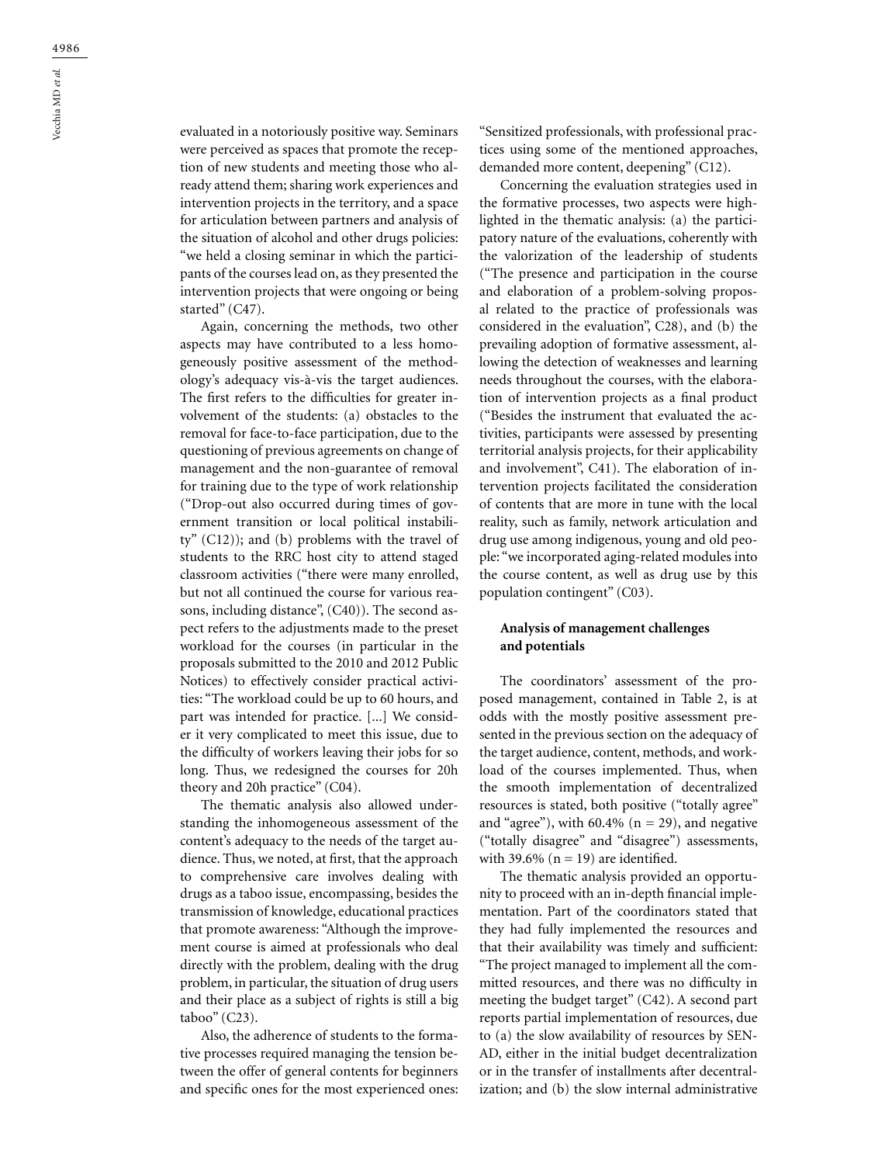evaluated in a notoriously positive way. Seminars were perceived as spaces that promote the reception of new students and meeting those who already attend them; sharing work experiences and intervention projects in the territory, and a space for articulation between partners and analysis of the situation of alcohol and other drugs policies: "we held a closing seminar in which the participants of the courses lead on, as they presented the intervention projects that were ongoing or being started" (C47).

Again, concerning the methods, two other aspects may have contributed to a less homogeneously positive assessment of the methodology's adequacy vis-à-vis the target audiences. The first refers to the difficulties for greater involvement of the students: (a) obstacles to the removal for face-to-face participation, due to the questioning of previous agreements on change of management and the non-guarantee of removal for training due to the type of work relationship ("Drop-out also occurred during times of government transition or local political instability" (C12)); and (b) problems with the travel of students to the RRC host city to attend staged classroom activities ("there were many enrolled, but not all continued the course for various reasons, including distance", (C40)). The second aspect refers to the adjustments made to the preset workload for the courses (in particular in the proposals submitted to the 2010 and 2012 Public Notices) to effectively consider practical activities: "The workload could be up to 60 hours, and part was intended for practice. [...] We consider it very complicated to meet this issue, due to the difficulty of workers leaving their jobs for so long. Thus, we redesigned the courses for 20h theory and 20h practice" (C04).

The thematic analysis also allowed understanding the inhomogeneous assessment of the content's adequacy to the needs of the target audience. Thus, we noted, at first, that the approach to comprehensive care involves dealing with drugs as a taboo issue, encompassing, besides the transmission of knowledge, educational practices that promote awareness: "Although the improvement course is aimed at professionals who deal directly with the problem, dealing with the drug problem, in particular, the situation of drug users and their place as a subject of rights is still a big taboo" (C23).

Also, the adherence of students to the formative processes required managing the tension between the offer of general contents for beginners and specific ones for the most experienced ones:

"Sensitized professionals, with professional practices using some of the mentioned approaches, demanded more content, deepening" (C12).

Concerning the evaluation strategies used in the formative processes, two aspects were highlighted in the thematic analysis: (a) the participatory nature of the evaluations, coherently with the valorization of the leadership of students ("The presence and participation in the course and elaboration of a problem-solving proposal related to the practice of professionals was considered in the evaluation", C28), and (b) the prevailing adoption of formative assessment, allowing the detection of weaknesses and learning needs throughout the courses, with the elaboration of intervention projects as a final product ("Besides the instrument that evaluated the activities, participants were assessed by presenting territorial analysis projects, for their applicability and involvement", C41). The elaboration of intervention projects facilitated the consideration of contents that are more in tune with the local reality, such as family, network articulation and drug use among indigenous, young and old people: "we incorporated aging-related modules into the course content, as well as drug use by this population contingent" (C03).

### **Analysis of management challenges and potentials**

The coordinators' assessment of the proposed management, contained in Table 2, is at odds with the mostly positive assessment presented in the previous section on the adequacy of the target audience, content, methods, and workload of the courses implemented. Thus, when the smooth implementation of decentralized resources is stated, both positive ("totally agree" and "agree"), with  $60.4\%$  (n = 29), and negative ("totally disagree" and "disagree") assessments, with 39.6% ( $n = 19$ ) are identified.

The thematic analysis provided an opportunity to proceed with an in-depth financial implementation. Part of the coordinators stated that they had fully implemented the resources and that their availability was timely and sufficient: "The project managed to implement all the committed resources, and there was no difficulty in meeting the budget target" (C42). A second part reports partial implementation of resources, due to (a) the slow availability of resources by SEN-AD, either in the initial budget decentralization or in the transfer of installments after decentralization; and (b) the slow internal administrative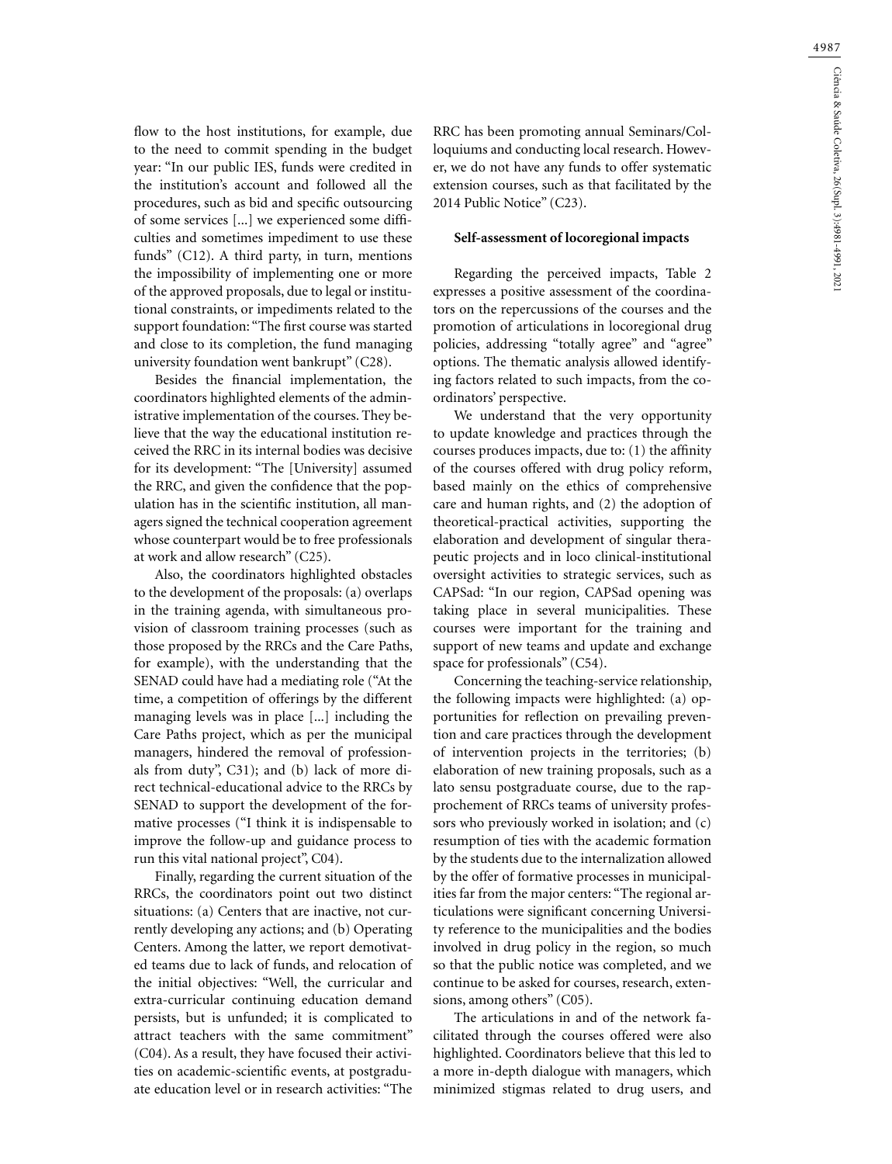flow to the host institutions, for example, due to the need to commit spending in the budget year: "In our public IES, funds were credited in the institution's account and followed all the procedures, such as bid and specific outsourcing of some services [...] we experienced some difficulties and sometimes impediment to use these funds" (C12). A third party, in turn, mentions the impossibility of implementing one or more of the approved proposals, due to legal or institutional constraints, or impediments related to the support foundation: "The first course was started and close to its completion, the fund managing university foundation went bankrupt" (C28).

Besides the financial implementation, the coordinators highlighted elements of the administrative implementation of the courses. They believe that the way the educational institution received the RRC in its internal bodies was decisive for its development: "The [University] assumed the RRC, and given the confidence that the population has in the scientific institution, all managers signed the technical cooperation agreement whose counterpart would be to free professionals at work and allow research" (C25).

Also, the coordinators highlighted obstacles to the development of the proposals: (a) overlaps in the training agenda, with simultaneous provision of classroom training processes (such as those proposed by the RRCs and the Care Paths, for example), with the understanding that the SENAD could have had a mediating role ("At the time, a competition of offerings by the different managing levels was in place [...] including the Care Paths project, which as per the municipal managers, hindered the removal of professionals from duty", C31); and (b) lack of more direct technical-educational advice to the RRCs by SENAD to support the development of the formative processes ("I think it is indispensable to improve the follow-up and guidance process to run this vital national project", C04).

Finally, regarding the current situation of the RRCs, the coordinators point out two distinct situations: (a) Centers that are inactive, not currently developing any actions; and (b) Operating Centers. Among the latter, we report demotivated teams due to lack of funds, and relocation of the initial objectives: "Well, the curricular and extra-curricular continuing education demand persists, but is unfunded; it is complicated to attract teachers with the same commitment" (C04). As a result, they have focused their activities on academic-scientific events, at postgraduate education level or in research activities: "The

RRC has been promoting annual Seminars/Colloquiums and conducting local research. However, we do not have any funds to offer systematic extension courses, such as that facilitated by the 2014 Public Notice" (C23).

#### **Self-assessment of locoregional impacts**

Regarding the perceived impacts, Table 2 expresses a positive assessment of the coordinators on the repercussions of the courses and the promotion of articulations in locoregional drug policies, addressing "totally agree" and "agree" options. The thematic analysis allowed identifying factors related to such impacts, from the coordinators' perspective.

We understand that the very opportunity to update knowledge and practices through the courses produces impacts, due to: (1) the affinity of the courses offered with drug policy reform, based mainly on the ethics of comprehensive care and human rights, and (2) the adoption of theoretical-practical activities, supporting the elaboration and development of singular therapeutic projects and in loco clinical-institutional oversight activities to strategic services, such as CAPSad: "In our region, CAPSad opening was taking place in several municipalities. These courses were important for the training and support of new teams and update and exchange space for professionals" (C54).

Concerning the teaching-service relationship, the following impacts were highlighted: (a) opportunities for reflection on prevailing prevention and care practices through the development of intervention projects in the territories; (b) elaboration of new training proposals, such as a lato sensu postgraduate course, due to the rapprochement of RRCs teams of university professors who previously worked in isolation; and (c) resumption of ties with the academic formation by the students due to the internalization allowed by the offer of formative processes in municipalities far from the major centers: "The regional articulations were significant concerning University reference to the municipalities and the bodies involved in drug policy in the region, so much so that the public notice was completed, and we continue to be asked for courses, research, extensions, among others" (C05).

The articulations in and of the network facilitated through the courses offered were also highlighted. Coordinators believe that this led to a more in-depth dialogue with managers, which minimized stigmas related to drug users, and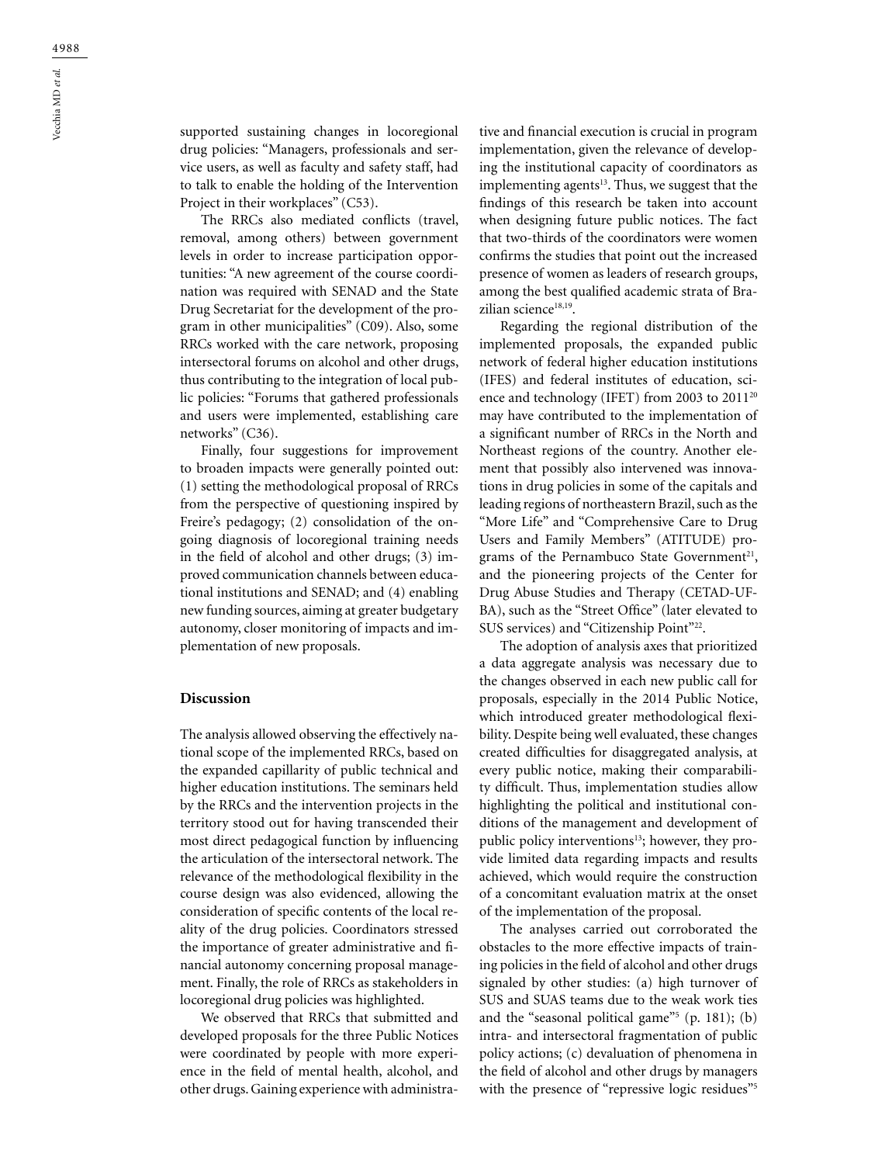supported sustaining changes in locoregional drug policies: "Managers, professionals and service users, as well as faculty and safety staff, had to talk to enable the holding of the Intervention Project in their workplaces" (C53).

The RRCs also mediated conflicts (travel, removal, among others) between government levels in order to increase participation opportunities: "A new agreement of the course coordination was required with SENAD and the State Drug Secretariat for the development of the program in other municipalities" (C09). Also, some RRCs worked with the care network, proposing intersectoral forums on alcohol and other drugs, thus contributing to the integration of local public policies: "Forums that gathered professionals and users were implemented, establishing care networks" (C36).

Finally, four suggestions for improvement to broaden impacts were generally pointed out: (1) setting the methodological proposal of RRCs from the perspective of questioning inspired by Freire's pedagogy; (2) consolidation of the ongoing diagnosis of locoregional training needs in the field of alcohol and other drugs; (3) improved communication channels between educational institutions and SENAD; and (4) enabling new funding sources, aiming at greater budgetary autonomy, closer monitoring of impacts and implementation of new proposals.

#### **Discussion**

The analysis allowed observing the effectively national scope of the implemented RRCs, based on the expanded capillarity of public technical and higher education institutions. The seminars held by the RRCs and the intervention projects in the territory stood out for having transcended their most direct pedagogical function by influencing the articulation of the intersectoral network. The relevance of the methodological flexibility in the course design was also evidenced, allowing the consideration of specific contents of the local reality of the drug policies. Coordinators stressed the importance of greater administrative and financial autonomy concerning proposal management. Finally, the role of RRCs as stakeholders in locoregional drug policies was highlighted.

We observed that RRCs that submitted and developed proposals for the three Public Notices were coordinated by people with more experience in the field of mental health, alcohol, and other drugs. Gaining experience with administrative and financial execution is crucial in program implementation, given the relevance of developing the institutional capacity of coordinators as implementing agents $13$ . Thus, we suggest that the findings of this research be taken into account when designing future public notices. The fact that two-thirds of the coordinators were women confirms the studies that point out the increased presence of women as leaders of research groups, among the best qualified academic strata of Brazilian science<sup>18,19</sup>.

Regarding the regional distribution of the implemented proposals, the expanded public network of federal higher education institutions (IFES) and federal institutes of education, science and technology (IFET) from 2003 to 201120 may have contributed to the implementation of a significant number of RRCs in the North and Northeast regions of the country. Another element that possibly also intervened was innovations in drug policies in some of the capitals and leading regions of northeastern Brazil, such as the "More Life" and "Comprehensive Care to Drug Users and Family Members" (ATITUDE) programs of the Pernambuco State Government<sup>21</sup>, and the pioneering projects of the Center for Drug Abuse Studies and Therapy (CETAD-UF-BA), such as the "Street Office" (later elevated to SUS services) and "Citizenship Point"22.

The adoption of analysis axes that prioritized a data aggregate analysis was necessary due to the changes observed in each new public call for proposals, especially in the 2014 Public Notice, which introduced greater methodological flexibility. Despite being well evaluated, these changes created difficulties for disaggregated analysis, at every public notice, making their comparability difficult. Thus, implementation studies allow highlighting the political and institutional conditions of the management and development of public policy interventions<sup>13</sup>; however, they provide limited data regarding impacts and results achieved, which would require the construction of a concomitant evaluation matrix at the onset of the implementation of the proposal.

The analyses carried out corroborated the obstacles to the more effective impacts of training policies in the field of alcohol and other drugs signaled by other studies: (a) high turnover of SUS and SUAS teams due to the weak work ties and the "seasonal political game"<sup>5</sup> (p. 181); (b) intra- and intersectoral fragmentation of public policy actions; (c) devaluation of phenomena in the field of alcohol and other drugs by managers with the presence of "repressive logic residues"<sup>5</sup>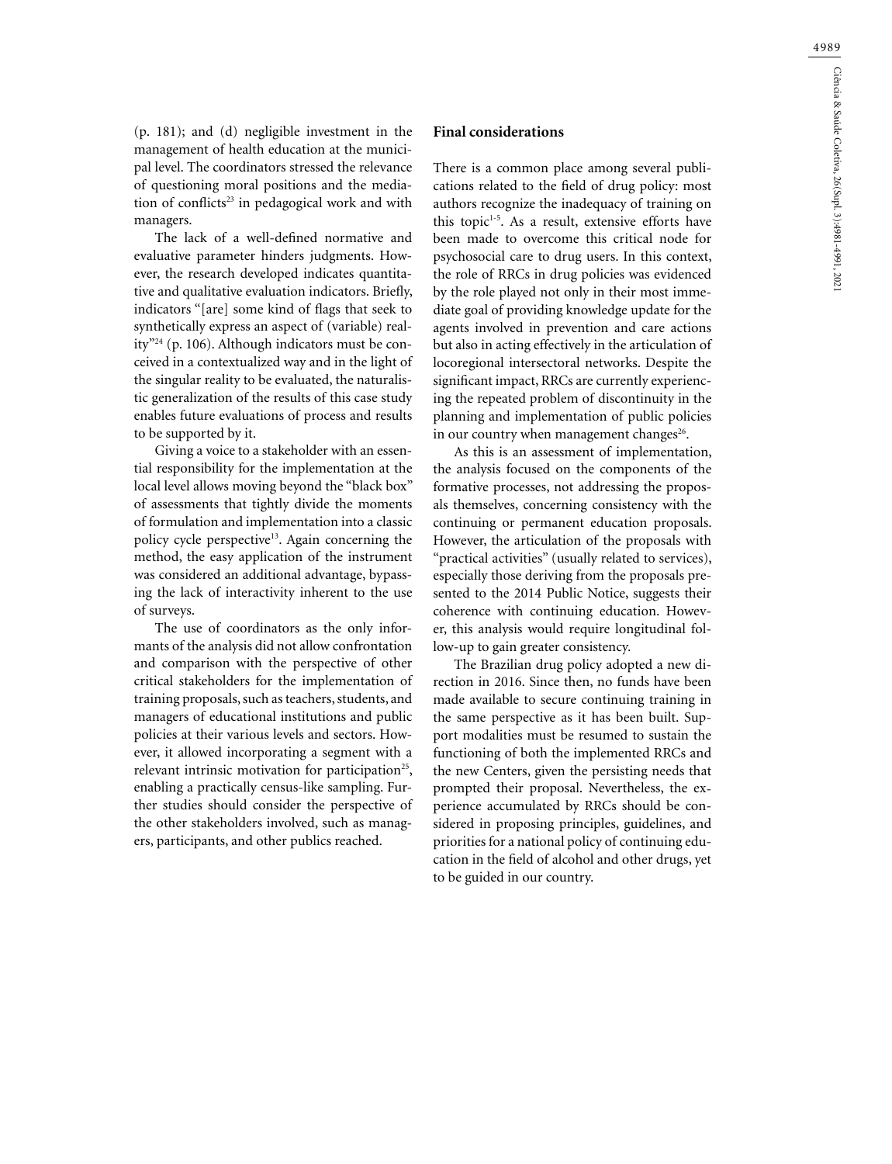(p. 181); and (d) negligible investment in the management of health education at the municipal level. The coordinators stressed the relevance of questioning moral positions and the mediation of conflicts<sup>23</sup> in pedagogical work and with managers.

The lack of a well-defined normative and evaluative parameter hinders judgments. However, the research developed indicates quantitative and qualitative evaluation indicators. Briefly, indicators "[are] some kind of flags that seek to synthetically express an aspect of (variable) reality"24 (p. 106). Although indicators must be conceived in a contextualized way and in the light of the singular reality to be evaluated, the naturalistic generalization of the results of this case study enables future evaluations of process and results to be supported by it.

Giving a voice to a stakeholder with an essential responsibility for the implementation at the local level allows moving beyond the "black box" of assessments that tightly divide the moments of formulation and implementation into a classic policy cycle perspective<sup>13</sup>. Again concerning the method, the easy application of the instrument was considered an additional advantage, bypassing the lack of interactivity inherent to the use of surveys.

The use of coordinators as the only informants of the analysis did not allow confrontation and comparison with the perspective of other critical stakeholders for the implementation of training proposals, such as teachers, students, and managers of educational institutions and public policies at their various levels and sectors. However, it allowed incorporating a segment with a relevant intrinsic motivation for participation<sup>25</sup>, enabling a practically census-like sampling. Further studies should consider the perspective of the other stakeholders involved, such as managers, participants, and other publics reached.

### **Final considerations**

There is a common place among several publications related to the field of drug policy: most authors recognize the inadequacy of training on this topic $1-5$ . As a result, extensive efforts have been made to overcome this critical node for psychosocial care to drug users. In this context, the role of RRCs in drug policies was evidenced by the role played not only in their most immediate goal of providing knowledge update for the agents involved in prevention and care actions but also in acting effectively in the articulation of locoregional intersectoral networks. Despite the significant impact, RRCs are currently experiencing the repeated problem of discontinuity in the planning and implementation of public policies in our country when management changes $26$ .

As this is an assessment of implementation, the analysis focused on the components of the formative processes, not addressing the proposals themselves, concerning consistency with the continuing or permanent education proposals. However, the articulation of the proposals with "practical activities" (usually related to services), especially those deriving from the proposals presented to the 2014 Public Notice, suggests their coherence with continuing education. However, this analysis would require longitudinal follow-up to gain greater consistency.

The Brazilian drug policy adopted a new direction in 2016. Since then, no funds have been made available to secure continuing training in the same perspective as it has been built. Support modalities must be resumed to sustain the functioning of both the implemented RRCs and the new Centers, given the persisting needs that prompted their proposal. Nevertheless, the experience accumulated by RRCs should be considered in proposing principles, guidelines, and priorities for a national policy of continuing education in the field of alcohol and other drugs, yet to be guided in our country.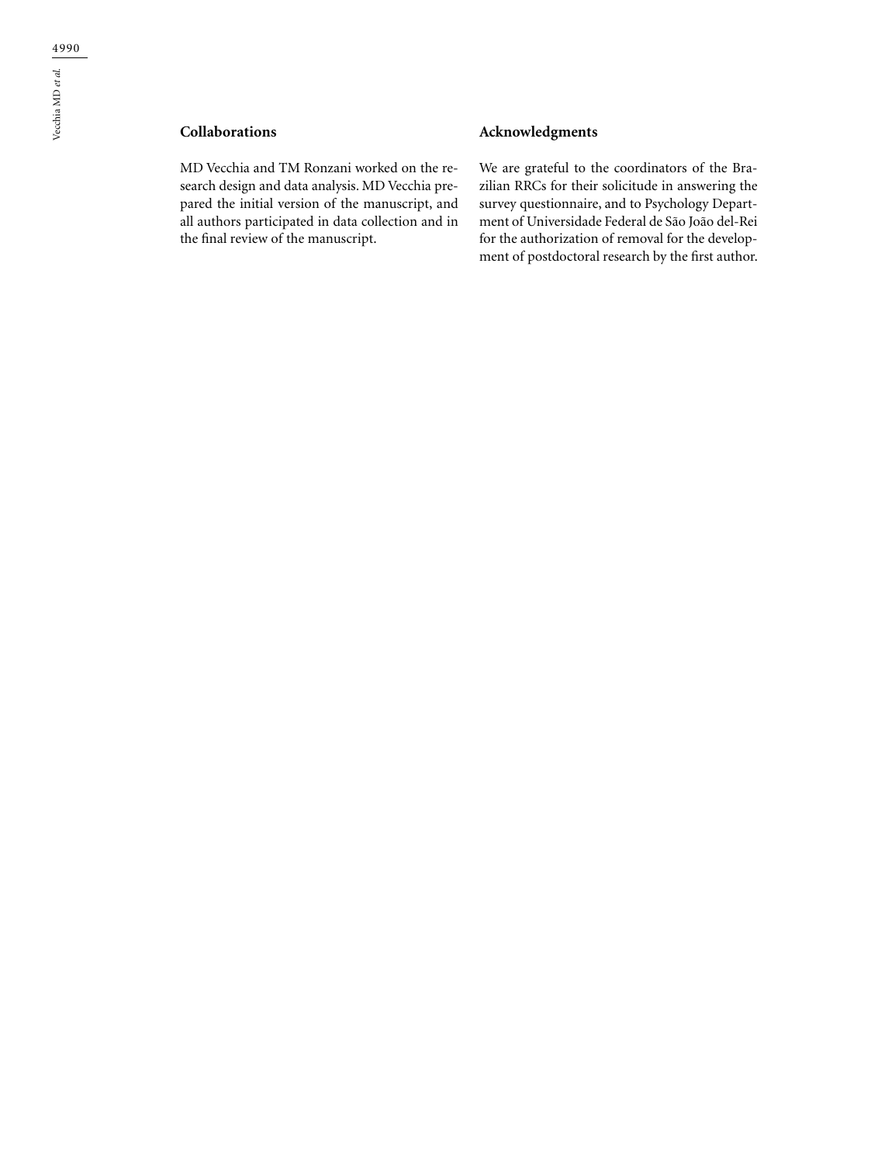# **Collaborations**

MD Vecchia and TM Ronzani worked on the research design and data analysis. MD Vecchia prepared the initial version of the manuscript, and all authors participated in data collection and in the final review of the manuscript.

## **Acknowledgments**

We are grateful to the coordinators of the Brazilian RRCs for their solicitude in answering the survey questionnaire, and to Psychology Department of Universidade Federal de São João del-Rei for the authorization of removal for the development of postdoctoral research by the first author.